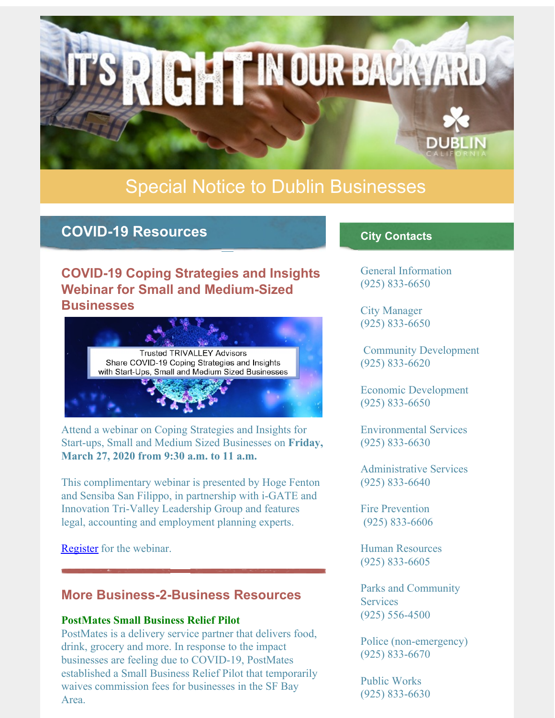

# Special Notice to Dublin Businesses

### **COVID-19 Resources**

### **COVID-19 Coping Strategies and Insights Webinar for Small and Medium-Sized Businesses**



Attend a webinar on Coping Strategies and Insights for Start-ups, Small and Medium Sized Businesses on **Friday, March 27, 2020 from 9:30 a.m. to 11 a.m.**

This complimentary webinar is presented by Hoge Fenton and Sensiba San Filippo, in partnership with i-GATE and Innovation Tri-Valley Leadership Group and features legal, accounting and employment planning experts.

[Register](http://r20.rs6.net/tn.jsp?f=001zB_XCdzNjxT0aL2W0-4uLmh948K4jIWDafHs7Ruv0L-9ih0FIxGcQlKL05md-HvslTzjkRL0NKRar4TqGypHEMN_QuwITz54QjHGsr9JjzNc6NbwaZCgBBU9DoVs5snME35gA39zEfE4H-WwaV_sdJVchk8MTgiC2F4rgHOjrmmAEnsgT7wDCFpzEWKl3cWqfVw_JlA5nbNBlEpwc9lODyobRScLDbDq1JFQvB6OwGhtsaBdlVezXfpcURqwbIwInmmOAdknIvL1Y7V1yn7hF4G324elw9X1&c=&ch=) for the webinar.

### **More Business-2-Business Resources**

#### **PostMates Small Business Relief Pilot**

PostMates is a delivery service partner that delivers food, drink, grocery and more. In response to the impact businesses are feeling due to COVID-19, PostMates established a Small Business Relief Pilot that temporarily waives commission fees for businesses in the SF Bay Area.

#### **City Contacts**

General Information (925) 833-6650

City Manager (925) 833-6650

Community Development (925) 833-6620

Economic Development (925) 833-6650

Environmental Services (925) 833-6630

Administrative Services (925) 833-6640

Fire Prevention (925) 833-6606

Human Resources (925) 833-6605

Parks and Community **Services** (925) 556-4500

Police (non-emergency) (925) 833-6670

Public Works (925) 833-6630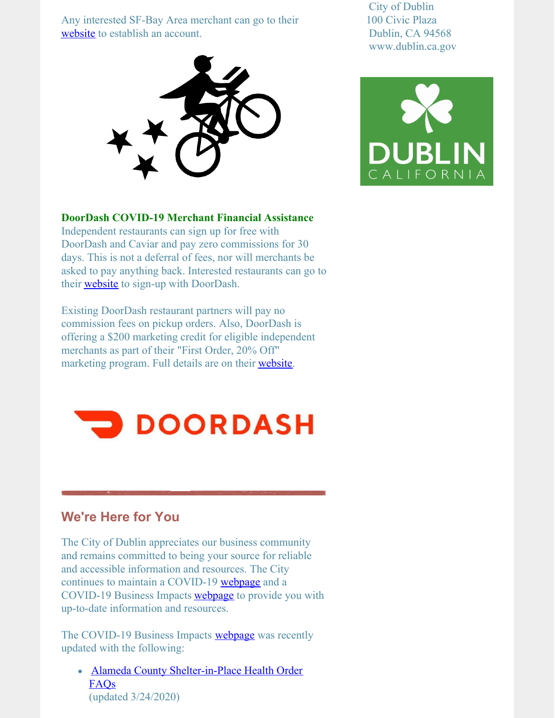Any interested SF-Bay Area merchant can go to their [website](http://r20.rs6.net/tn.jsp?f=001zB_XCdzNjxT0aL2W0-4uLmh948K4jIWDafHs7Ruv0L-9ih0FIxGcQlKL05md-HvsfzW-spk2ljsSmmyviVDjfV76sq2LQWXji8yRaYKZzqMAcWzpgFfQtthFi2UttOTg_GDzUqQx1HeJ80wyGnF5Q1jOMR-Q1wm9hrjh_g9Mzh-CDzDcDi3_nQ==&c=&ch=) to establish an account.



City of Dublin 100 Civic Plaza Dublin, CA 94568 www.dublin.ca.gov



#### **DoorDash COVID-19 Merchant Financial Assistance**

Independent restaurants can sign up for free with DoorDash and Caviar and pay zero commissions for 30 days. This is not a deferral of fees, nor will merchants be asked to pay anything back. Interested restaurants can go to their **[website](http://r20.rs6.net/tn.jsp?f=001zB_XCdzNjxT0aL2W0-4uLmh948K4jIWDafHs7Ruv0L-9ih0FIxGcQlKL05md-Hvs6iZwZc9qefEHPP4x2_Pim8scLLDMdEsyxkkWmg5CEPQ-f4GU51qd3OGbxmf0j2k4q4XHf4bZ_2zPeh21kuCuo6WwT0kg43e8cVGJVM-_4iE=&c=&ch=)** to sign-up with DoorDash.

Existing DoorDash restaurant partners will pay no commission fees on pickup orders. Also, DoorDash is offering a \$200 marketing credit for eligible independent merchants as part of their "First Order, 20% Off" marketing program. Full details are on their [website](http://r20.rs6.net/tn.jsp?f=001zB_XCdzNjxT0aL2W0-4uLmh948K4jIWDafHs7Ruv0L-9ih0FIxGcQlKL05md-HvsECdGd41WcY2b2VjOejO63fMi7Y5WM38T9KLimVIVGXdX5ELHr8ByLyJD6-yxRxrapZ97s7j0J2_YCk0CANe0ypmOg6hfQrGuBzZsZH4wqSpTfTarsjX0a67EL9Rh5eBo7jfX6kKTLyj23tcdvkJ4OjOLKy0pPEfMxseU6QS2Ws7qQN_9y3H7ZmXZAPa1v1uFUFRfohzNRzQHJiM6c6Ma2JnOT8OejGI2&c=&ch=).



#### **We're Here for You**

The City of Dublin appreciates our business community and remains committed to being your source for reliable and accessible information and resources. The City continues to maintain a COVID-19 [webpage](http://r20.rs6.net/tn.jsp?f=001zB_XCdzNjxT0aL2W0-4uLmh948K4jIWDafHs7Ruv0L-9ih0FIxGcQlKL05md-Hvs4HYJbzqo_uMVUsuXrLPUqiATx1nKIrudlfCTysnJ9IwVffk-bnmcE6TbmMYnC8xLinYvQPcGhIaV9ediv3MD1E2hfGfghTsytC_Y7WtYMSQKSrx3agyY4Pw3ut-c6ezV&c=&ch=) and a COVID-19 Business Impacts [webpage](http://r20.rs6.net/tn.jsp?f=001zB_XCdzNjxT0aL2W0-4uLmh948K4jIWDafHs7Ruv0L-9ih0FIxGcQk4DpoL7sPAmO3s_YOFwFL5FZmOiKWG1hgPlTKzj_Bem7LX1gMqaJaglDlh95T7UeRhTffxgX84vGwgzWVZRn6hoSi_Hw8cweHUVTOUOhXtARWSdH8-z3nNBTYf4BNO0g9WQGCGcb9fY13zq4mwZnv5uDbDLJtjmSQ==&c=&ch=) to provide you with up-to-date information and resources.

The COVID-19 Business Impacts **[webpage](http://r20.rs6.net/tn.jsp?f=001zB_XCdzNjxT0aL2W0-4uLmh948K4jIWDafHs7Ruv0L-9ih0FIxGcQk4DpoL7sPAmO3s_YOFwFL5FZmOiKWG1hgPlTKzj_Bem7LX1gMqaJaglDlh95T7UeRhTffxgX84vGwgzWVZRn6hoSi_Hw8cweHUVTOUOhXtARWSdH8-z3nNBTYf4BNO0g9WQGCGcb9fY13zq4mwZnv5uDbDLJtjmSQ==&c=&ch=)** was recently updated with the following:

• Alameda County [Shelter-in-Place](http://r20.rs6.net/tn.jsp?f=001zB_XCdzNjxT0aL2W0-4uLmh948K4jIWDafHs7Ruv0L-9ih0FIxGcQlKL05md-Hvs7njtYUIWM634WnudzT6XxEw9N7KojWGf5ZEPFT9BLvsTFMN9P5OlynKvekAUTjRPbSibd4Xf0TFfq6wnCKHh_j20MCt_UQb4aHZeHfjEP5Y1FI1wYWoMHkhpHUzGTIh-5Xg67uyoEU5a0RifCvVgNklYuutlRl_P&c=&ch=) Health Order FAQs (updated 3/24/2020)